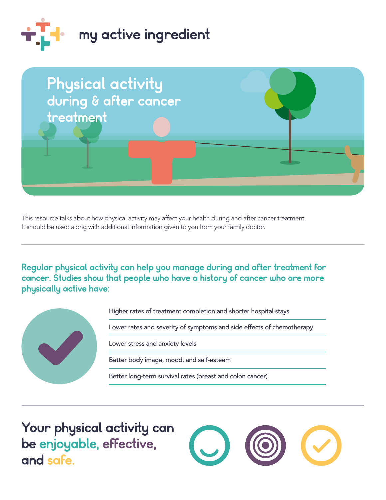



This resource talks about how physical activity may affect your health during and after cancer treatment. It should be used along with additional information given to you from your family doctor.

Regular physical activity can help you manage during and after treatment for cancer. Studies show that people who have a history of cancer who are more physically active have:



 be enjoyable, effective, Your physical activity can and safe.